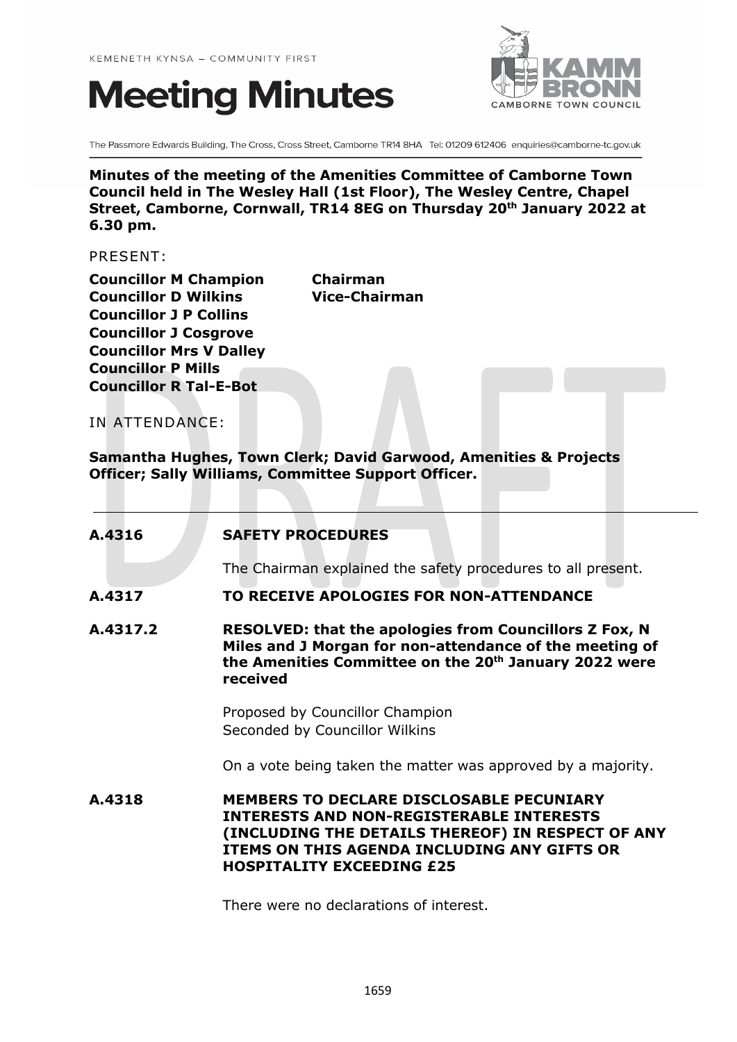# **Meeting Minutes**



The Passmore Edwards Building, The Cross, Cross Street, Camborne TR14 8HA Tel: 01209 612406 enquiries@camborne-tc.gov.uk

**Minutes of the meeting of the Amenities Committee of Camborne Town Council held in The Wesley Hall (1st Floor), The Wesley Centre, Chapel Street, Camborne, Cornwall, TR14 8EG on Thursday 20th January 2022 at 6.30 pm.**

PRESENT:

**Councillor M Champion Chairman Councillor D Wilkins Vice-Chairman Councillor J P Collins Councillor J Cosgrove Councillor Mrs V Dalley Councillor P Mills Councillor R Tal-E-Bot**

IN ATTENDANCE:

**Samantha Hughes, Town Clerk; David Garwood, Amenities & Projects Officer; Sally Williams, Committee Support Officer.**

| A.4316   | <b>SAFETY PROCEDURES</b>                                                                                                                                                                                                                   |
|----------|--------------------------------------------------------------------------------------------------------------------------------------------------------------------------------------------------------------------------------------------|
|          | The Chairman explained the safety procedures to all present.                                                                                                                                                                               |
| A.4317   | TO RECEIVE APOLOGIES FOR NON-ATTENDANCE                                                                                                                                                                                                    |
| A.4317.2 | <b>RESOLVED: that the apologies from Councillors Z Fox, N</b><br>Miles and J Morgan for non-attendance of the meeting of<br>the Amenities Committee on the 20 <sup>th</sup> January 2022 were<br>received                                  |
|          | Proposed by Councillor Champion<br>Seconded by Councillor Wilkins                                                                                                                                                                          |
|          | On a vote being taken the matter was approved by a majority.                                                                                                                                                                               |
| A.4318   | <b>MEMBERS TO DECLARE DISCLOSABLE PECUNIARY</b><br><b>INTERESTS AND NON-REGISTERABLE INTERESTS</b><br>(INCLUDING THE DETAILS THEREOF) IN RESPECT OF ANY<br>ITEMS ON THIS AGENDA INCLUDING ANY GIFTS OR<br><b>HOSPITALITY EXCEEDING £25</b> |
|          | There were no declarations of interest.                                                                                                                                                                                                    |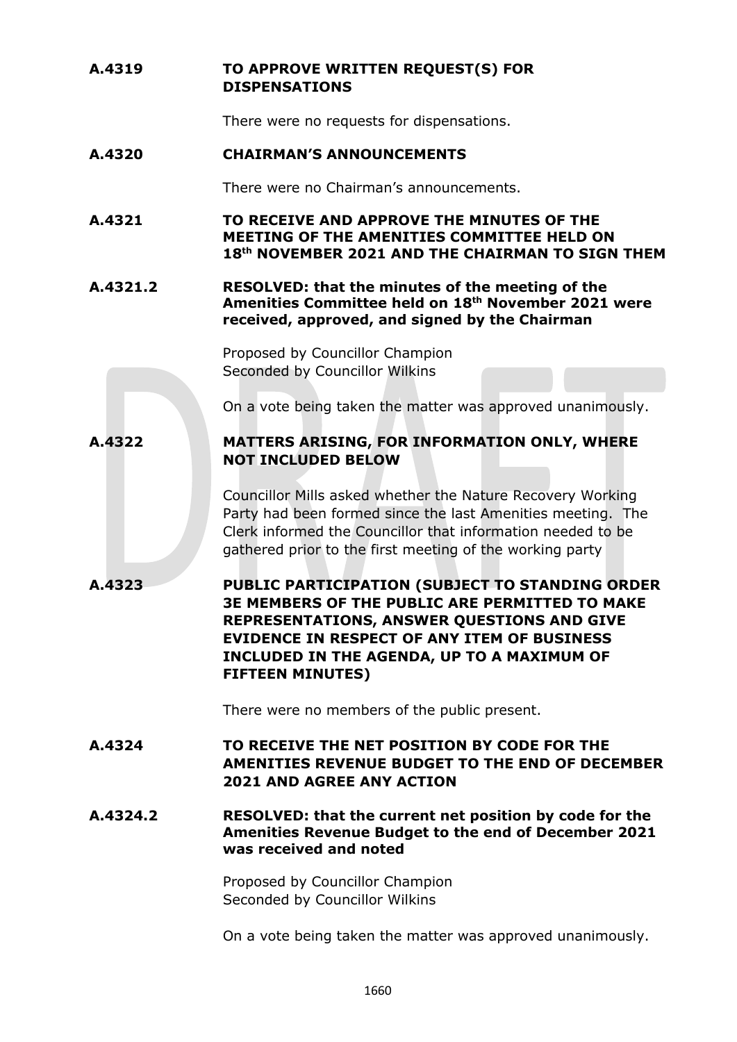# **A.4319 TO APPROVE WRITTEN REQUEST(S) FOR DISPENSATIONS**

There were no requests for dispensations.

# **A.4320 CHAIRMAN'S ANNOUNCEMENTS**

There were no Chairman's announcements.

- **A.4321 TO RECEIVE AND APPROVE THE MINUTES OF THE MEETING OF THE AMENITIES COMMITTEE HELD ON 18th NOVEMBER 2021 AND THE CHAIRMAN TO SIGN THEM**
- **A.4321.2 RESOLVED: that the minutes of the meeting of the Amenities Committee held on 18th November 2021 were received, approved, and signed by the Chairman**

Proposed by Councillor Champion Seconded by Councillor Wilkins

On a vote being taken the matter was approved unanimously.

# **A.4322 MATTERS ARISING, FOR INFORMATION ONLY, WHERE NOT INCLUDED BELOW**

Councillor Mills asked whether the Nature Recovery Working Party had been formed since the last Amenities meeting. The Clerk informed the Councillor that information needed to be gathered prior to the first meeting of the working party

**A.4323 PUBLIC PARTICIPATION (SUBJECT TO STANDING ORDER 3E MEMBERS OF THE PUBLIC ARE PERMITTED TO MAKE REPRESENTATIONS, ANSWER QUESTIONS AND GIVE EVIDENCE IN RESPECT OF ANY ITEM OF BUSINESS INCLUDED IN THE AGENDA, UP TO A MAXIMUM OF FIFTEEN MINUTES)**

There were no members of the public present.

**A.4324 TO RECEIVE THE NET POSITION BY CODE FOR THE AMENITIES REVENUE BUDGET TO THE END OF DECEMBER 2021 AND AGREE ANY ACTION**

**A.4324.2 RESOLVED: that the current net position by code for the Amenities Revenue Budget to the end of December 2021 was received and noted** 

> Proposed by Councillor Champion Seconded by Councillor Wilkins

On a vote being taken the matter was approved unanimously.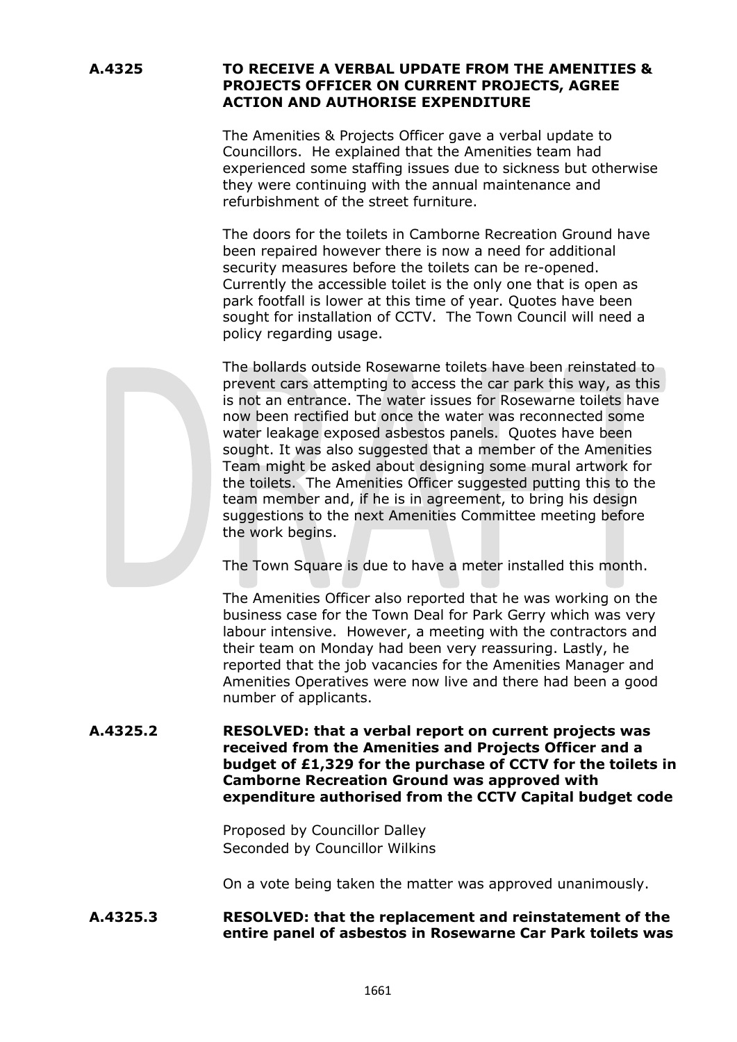## **A.4325 TO RECEIVE A VERBAL UPDATE FROM THE AMENITIES & PROJECTS OFFICER ON CURRENT PROJECTS, AGREE ACTION AND AUTHORISE EXPENDITURE**

The Amenities & Projects Officer gave a verbal update to Councillors. He explained that the Amenities team had experienced some staffing issues due to sickness but otherwise they were continuing with the annual maintenance and refurbishment of the street furniture.

The doors for the toilets in Camborne Recreation Ground have been repaired however there is now a need for additional security measures before the toilets can be re-opened. Currently the accessible toilet is the only one that is open as park footfall is lower at this time of year. Quotes have been sought for installation of CCTV. The Town Council will need a policy regarding usage.

The bollards outside Rosewarne toilets have been reinstated to prevent cars attempting to access the car park this way, as this is not an entrance. The water issues for Rosewarne toilets have now been rectified but once the water was reconnected some water leakage exposed asbestos panels. Quotes have been sought. It was also suggested that a member of the Amenities Team might be asked about designing some mural artwork for the toilets. The Amenities Officer suggested putting this to the team member and, if he is in agreement, to bring his design suggestions to the next Amenities Committee meeting before the work begins.

The Town Square is due to have a meter installed this month.

The Amenities Officer also reported that he was working on the business case for the Town Deal for Park Gerry which was very labour intensive. However, a meeting with the contractors and their team on Monday had been very reassuring. Lastly, he reported that the job vacancies for the Amenities Manager and Amenities Operatives were now live and there had been a good number of applicants.

### **A.4325.2 RESOLVED: that a verbal report on current projects was received from the Amenities and Projects Officer and a budget of £1,329 for the purchase of CCTV for the toilets in Camborne Recreation Ground was approved with expenditure authorised from the CCTV Capital budget code**

Proposed by Councillor Dalley Seconded by Councillor Wilkins

On a vote being taken the matter was approved unanimously.

### **A.4325.3 RESOLVED: that the replacement and reinstatement of the entire panel of asbestos in Rosewarne Car Park toilets was**

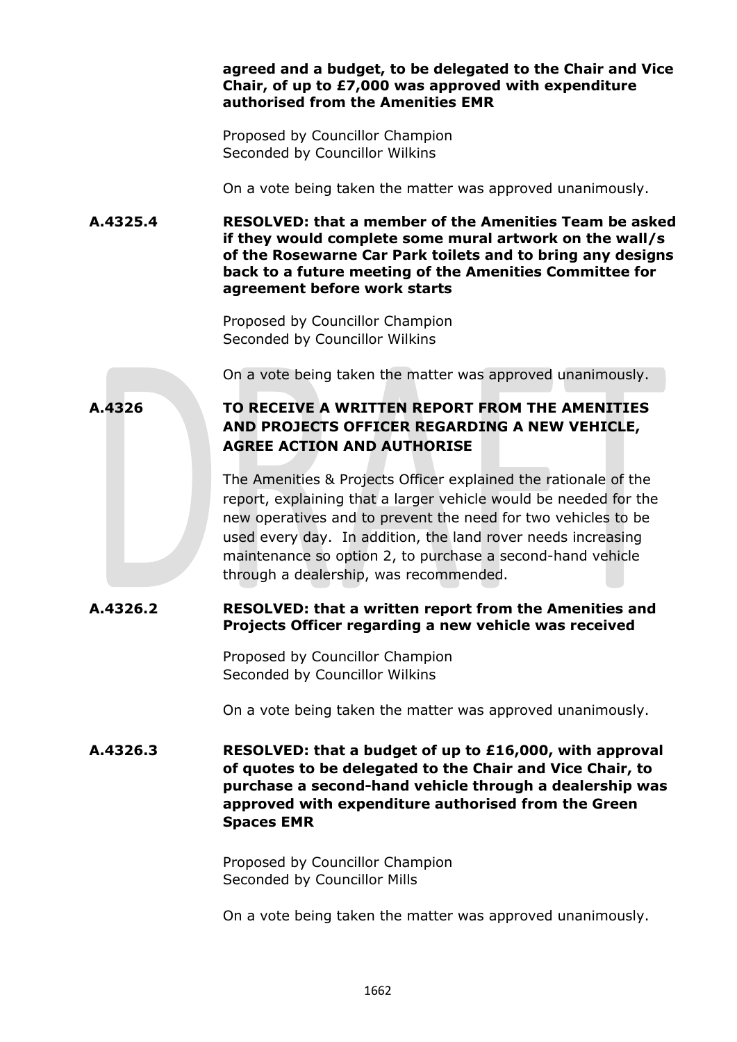#### **agreed and a budget, to be delegated to the Chair and Vice Chair, of up to £7,000 was approved with expenditure authorised from the Amenities EMR**

Proposed by Councillor Champion Seconded by Councillor Wilkins

On a vote being taken the matter was approved unanimously.

**A.4325.4 RESOLVED: that a member of the Amenities Team be asked if they would complete some mural artwork on the wall/s of the Rosewarne Car Park toilets and to bring any designs back to a future meeting of the Amenities Committee for agreement before work starts** 

> Proposed by Councillor Champion Seconded by Councillor Wilkins

On a vote being taken the matter was approved unanimously.

# **A.4326 TO RECEIVE A WRITTEN REPORT FROM THE AMENITIES AND PROJECTS OFFICER REGARDING A NEW VEHICLE, AGREE ACTION AND AUTHORISE**

The Amenities & Projects Officer explained the rationale of the report, explaining that a larger vehicle would be needed for the new operatives and to prevent the need for two vehicles to be used every day. In addition, the land rover needs increasing maintenance so option 2, to purchase a second-hand vehicle through a dealership, was recommended.

# **A.4326.2 RESOLVED: that a written report from the Amenities and Projects Officer regarding a new vehicle was received**

Proposed by Councillor Champion Seconded by Councillor Wilkins

On a vote being taken the matter was approved unanimously.

**A.4326.3 RESOLVED: that a budget of up to £16,000, with approval of quotes to be delegated to the Chair and Vice Chair, to purchase a second-hand vehicle through a dealership was approved with expenditure authorised from the Green Spaces EMR**

> Proposed by Councillor Champion Seconded by Councillor Mills

On a vote being taken the matter was approved unanimously.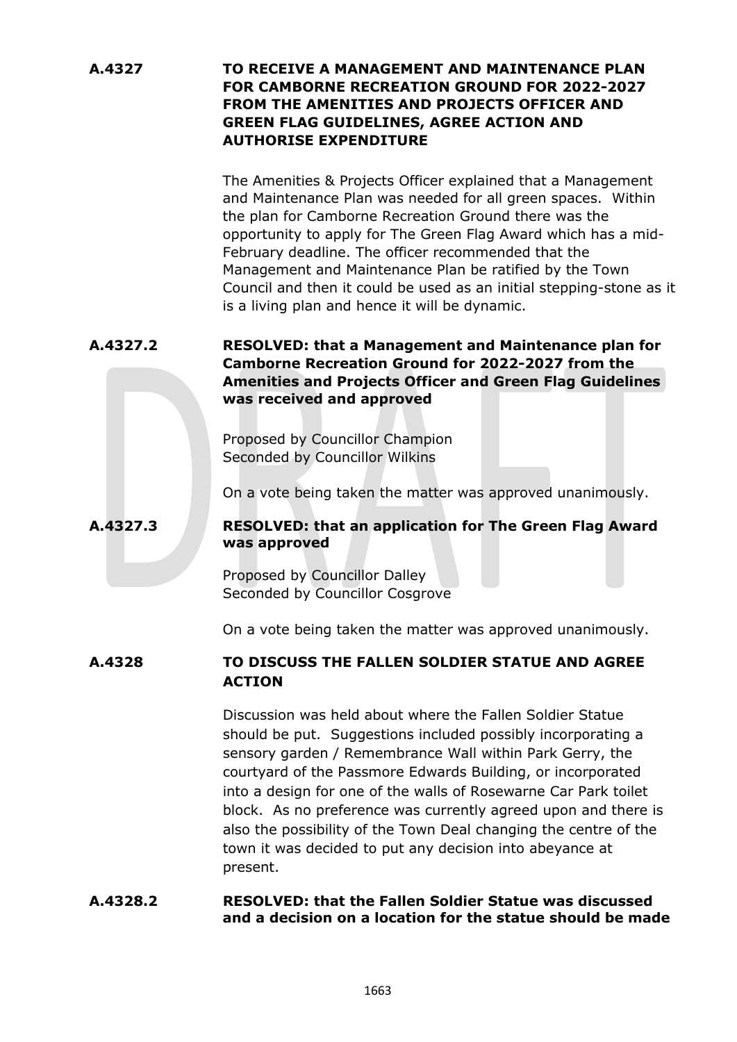## **A.4327 TO RECEIVE A MANAGEMENT AND MAINTENANCE PLAN FOR CAMBORNE RECREATION GROUND FOR 2022-2027 FROM THE AMENITIES AND PROJECTS OFFICER AND GREEN FLAG GUIDELINES, AGREE ACTION AND AUTHORISE EXPENDITURE**

The Amenities & Projects Officer explained that a Management and Maintenance Plan was needed for all green spaces. Within the plan for Camborne Recreation Ground there was the opportunity to apply for The Green Flag Award which has a mid-February deadline. The officer recommended that the Management and Maintenance Plan be ratified by the Town Council and then it could be used as an initial stepping-stone as it is a living plan and hence it will be dynamic.

**A.4327.2 RESOLVED: that a Management and Maintenance plan for Camborne Recreation Ground for 2022-2027 from the Amenities and Projects Officer and Green Flag Guidelines was received and approved**

> Proposed by Councillor Champion Seconded by Councillor Wilkins

On a vote being taken the matter was approved unanimously.

## **A.4327.3 RESOLVED: that an application for The Green Flag Award was approved**

Proposed by Councillor Dalley Seconded by Councillor Cosgrove

On a vote being taken the matter was approved unanimously.

# **A.4328 TO DISCUSS THE FALLEN SOLDIER STATUE AND AGREE ACTION**

Discussion was held about where the Fallen Soldier Statue should be put. Suggestions included possibly incorporating a sensory garden / Remembrance Wall within Park Gerry, the courtyard of the Passmore Edwards Building, or incorporated into a design for one of the walls of Rosewarne Car Park toilet block. As no preference was currently agreed upon and there is also the possibility of the Town Deal changing the centre of the town it was decided to put any decision into abeyance at present.

#### **A.4328.2 RESOLVED: that the Fallen Soldier Statue was discussed and a decision on a location for the statue should be made**